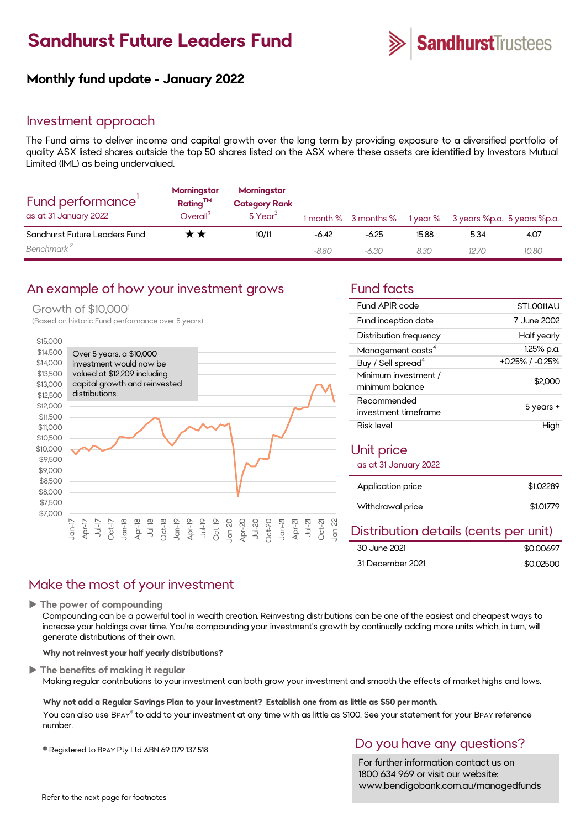# **Sandhurst Future Leaders Fund**



## **Monthly fund update - January 2022**

#### Investment approach

The Fund aims to deliver income and capital growth over the long term by providing exposure to a diversified portfolio of quality ASX listed shares outside the top 50 shares listed on the ASX where these assets are identified by Investors Mutual Limited (IML) as being undervalued.

| Fund performance'<br>as at 31 January 2022 | Morningstar<br>Rating <sup>TM</sup><br>Overall <sup>3</sup> | Morningstar<br><b>Category Rank</b><br>5 Year <sup>3</sup> |         |         |       | 1 month % 3 months % 1 year % 3 years %p.a. 5 years %p.a. |       |
|--------------------------------------------|-------------------------------------------------------------|------------------------------------------------------------|---------|---------|-------|-----------------------------------------------------------|-------|
| Sandhurst Future Leaders Fund              | r ★                                                         | 10/11                                                      | $-6.42$ | $-6.25$ | 15.88 | 5.34                                                      | 4.07  |
| Benchmark <sup>2</sup>                     |                                                             |                                                            | $-8.80$ | -6.30   | 8.30  | 12.70                                                     | 10.80 |

### An example of how your investment grows Fund facts

#### Growth of \$10,000<sup>1</sup>

(Based on historic Fund performance over 5 years)



| Fund APIR code                          | STLO011AU             |
|-----------------------------------------|-----------------------|
| Fund inception date                     | 7 June 2002           |
| Distribution frequency                  | Half yearly           |
| Management costs <sup>4</sup>           | 1.25% p.a.            |
| Buy / Sell spread <sup>4</sup>          | $+0.25\%$ / $-0.25\%$ |
| Minimum investment /<br>minimum balance | \$2.000               |
| Recommended                             | 5 years +             |
| investment timeframe                    |                       |
| <b>Risk level</b>                       | High                  |
| Unit price                              |                       |
| as at 31 January 2022                   |                       |
| Application price                       | \$1.02289             |
| Withdrawal price                        | \$1.01779             |
|                                         |                       |

#### Distribution details (cents per unit)

| 30 June 2021     | \$0,00697 |
|------------------|-----------|
| 31 December 2021 | \$0.02500 |

#### Make the most of your investment

**The power of compounding**

Compounding can be a powerful tool in wealth creation. Reinvesting distributions can be one of the easiest and cheapest ways to increase your holdings over time. You're compounding your investment's growth by continually adding more units which, in turn, will generate distributions of their own.

#### **Why not reinvest your half yearly distributions?**

 **The benefits of making it regular** Making regular contributions to your investment can both grow your investment and smooth the effects of market highs and lows.

**Why not add a Regular Savings Plan to your investment? Establish one from as little as \$50 per month.**  You can also use BPAY® to add to your investment at any time with as little as \$100. See your statement for your BPAY reference number.

® Registered to BPAY Pty Ltd ABN 69 079 137 518

#### Do you have any questions?

For further information contact us on 1800 634 969 or visit our website: www.bendigobank.com.au/managedfunds